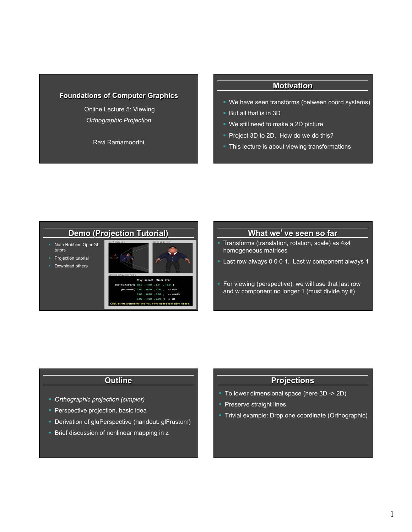### **Foundations of Computer Graphics**

 Online Lecture 5: Viewing *Orthographic Projection* 

Ravi Ramamoorthi

### **Motivation**

- We have seen transforms (between coord systems)
- **But all that is in 3D**
- § We still need to make a 2D picture
- Project 3D to 2D. How do we do this?
- This lecture is about viewing transformations

# **Demo (Projection Tutorial)**

- § Nate Robbins OpenGL tutors
- § Projection tutorial
- Download others



### **What we**'**ve seen so far**

- § Transforms (translation, rotation, scale) as 4x4 homogeneous matrices
- § Last row always 0 0 0 1. Last w component always 1
- For viewing (perspective), we will use that last row and w component no longer 1 (must divide by it)

### **Outline**

- § *Orthographic projection (simpler)*
- **Perspective projection, basic idea**
- Derivation of gluPerspective (handout: glFrustum)
- Brief discussion of nonlinear mapping in z

### **Projections**

- § To lower dimensional space (here 3D -> 2D)
- § Preserve straight lines
- § Trivial example: Drop one coordinate (Orthographic)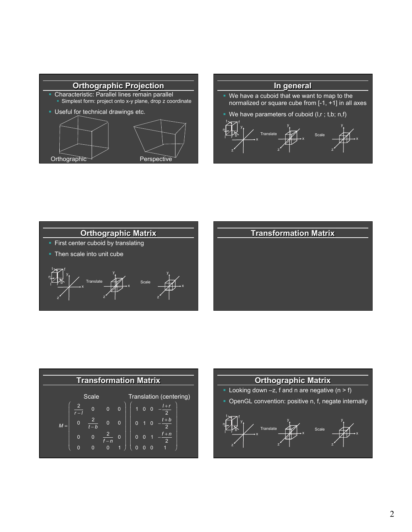







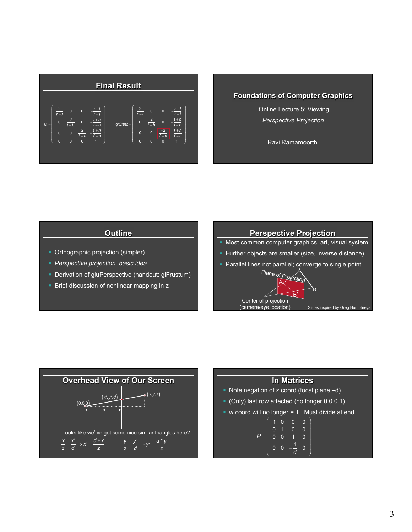

### **Foundations of Computer Graphics**

 Online Lecture 5: Viewing *Perspective Projection* 

Ravi Ramamoorthi

## **Outline**

- Orthographic projection (simpler)
- § *Perspective projection, basic idea*
- Derivation of gluPerspective (handout: glFrustum)
- **Brief discussion of nonlinear mapping in z**

# **Perspective Projection**

- Most common computer graphics, art, visual system
- § Further objects are smaller (size, inverse distance)
- Parallel lines not parallel; converge to single point





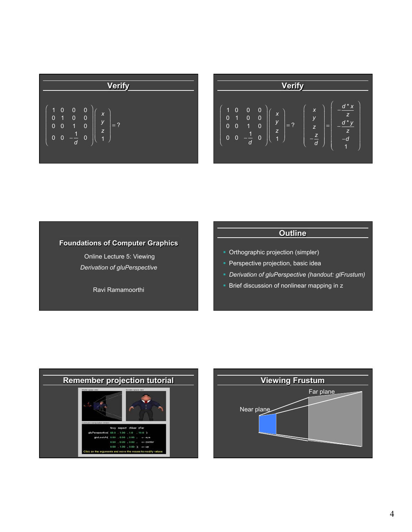| Verify                                                                                                                                                                         |
|--------------------------------------------------------------------------------------------------------------------------------------------------------------------------------|
| \n $\begin{pmatrix}\n 1 & 0 & 0 & 0 \\ 0 & 1 & 0 & 0 \\ 0 & 0 & 1 & 0 \\ 0 & 0 & -\frac{1}{d} & 0\n \end{pmatrix}\n \begin{pmatrix}\n x \\ y \\ z \\ 1\n \end{pmatrix} = ?$ \n |

| <b>Verify</b>                                                                                                                                                                  |                                                                                 |
|--------------------------------------------------------------------------------------------------------------------------------------------------------------------------------|---------------------------------------------------------------------------------|
| $\overline{0}$<br>0<br>1<br>X<br>0<br>$\overline{0}$<br>0<br>1<br>У<br>$\overline{0}$<br>$\overline{0}$<br>1<br>0<br>Z<br>1<br>0<br>0<br>0<br>$\overline{1}$<br>$\overline{d}$ | $d^*x$<br>X<br>z<br>У<br>$= ?$<br>=<br>z<br>z<br>z<br>-d<br>$\overline{d}$<br>4 |

# **Foundations of Computer Graphics**

 Online Lecture 5: Viewing *Derivation of gluPerspective*

Ravi Ramamoorthi

# **Outline**

- § Orthographic projection (simpler)
- **Perspective projection, basic idea**
- § *Derivation of gluPerspective (handout: glFrustum)*
- Brief discussion of nonlinear mapping in z



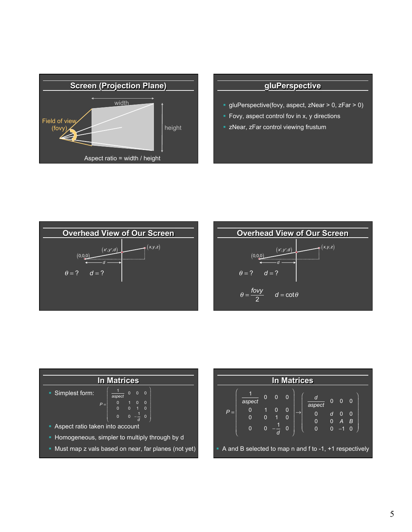

## **gluPerspective**

- § gluPerspective(fovy, aspect, zNear > 0, zFar > 0)
- § Fovy, aspect control fov in x, y directions
- **zNear, zFar control viewing frustum**







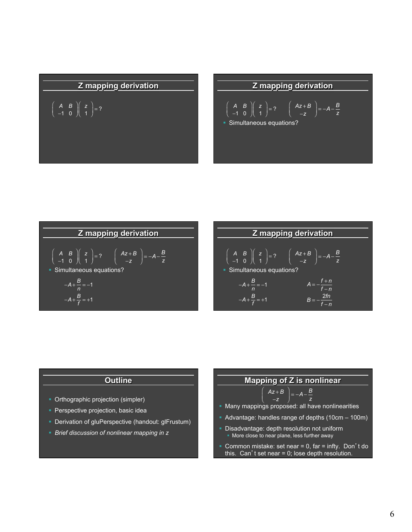# **Z mapping derivation**

$$
\left(\begin{array}{cc} A & B \\ -1 & 0 \end{array}\right)\left(\begin{array}{c} z \\ 1 \end{array}\right)=?
$$

## **Z mapping derivation**

$$
\begin{pmatrix} A & B \\ -1 & 0 \end{pmatrix} \begin{pmatrix} z \\ 1 \end{pmatrix} = ? \qquad \begin{pmatrix} Az + B \\ -z \end{pmatrix} = -A - \frac{B}{z}
$$

§ Simultaneous equations?





### **Outline**

- Orthographic projection (simpler)
- **Perspective projection, basic idea**
- Derivation of gluPerspective (handout: glFrustum)
- § *Brief discussion of nonlinear mapping in z*

## **Mapping of Z is nonlinear**

$$
\left(\begin{array}{c}Az+B\\-z\end{array}\right)=-A-\frac{B}{z}
$$

 $\big($ ⎜

- Many mappings proposed: all have nonlinearities
- Advantage: handles range of depths (10cm 100m)
- Disadvantage: depth resolution not uniform • More close to near plane, less further away
- § Common mistake: set near = 0, far = infty. Don't do this. Can't set near = 0; lose depth resolution.